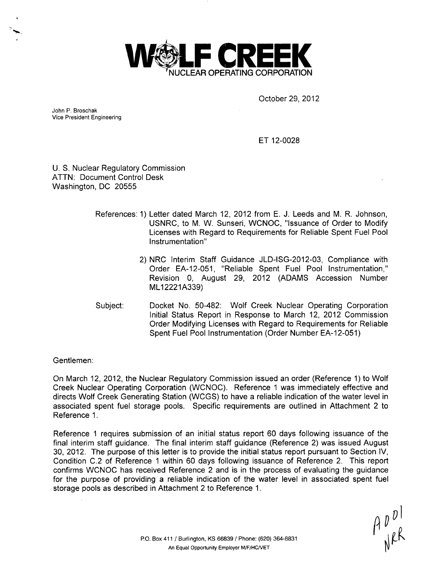

October 29, 2012

John P. Broschak Vice President Engineering

ET 12-0028

U. S. Nuclear Regulatory Commission ATTN: Document Control Desk Washington, DC 20555

- References: 1) Letter dated March 12, 2012 from E. J. Leeds and M. R. Johnson, USNRC, to M. W. Sunseri, WCNOC, "Issuance of Order to Modify Licenses with Regard to Requirements for Reliable Spent Fuel Pool Instrumentation"
	- 2) NRC Interim Staff Guidance JLD-ISG-2012-03, Compliance with Order EA-12-051, "Reliable Spent Fuel Pool Instrumentation," Revision 0, August 29, 2012 (ADAMS Accession Number ML12221A339)
- Subject: Docket No. 50-482: Wolf Creek Nuclear Operating Corporation Initial Status Report in Response to March 12, 2012 Commission Order Modifying Licenses with Regard to Requirements for Reliable Spent Fuel Pool Instrumentation (Order Number EA-12-051)

Gentlemen:

On March 12, 2012, the Nuclear Regulatory Commission issued an order (Reference 1) to Wolf Creek Nuclear Operating Corporation (WCNOC). Reference 1 was immediately effective and directs Wolf Creek Generating Station (WCGS) to have a reliable indication of the water level in associated spent fuel storage pools. Specific requirements are outlined in Attachment 2 to Reference 1.

Reference 1 requires submission of an initial status report 60 days following issuance of the final interim staff guidance. The final interim staff guidance (Reference 2) was issued August 30, 2012. The purpose of this letter is to provide the initial status report pursuant to Section IV, Condition C.2 of Reference 1 within 60 days following issuance of Reference 2. This report confirms WCNOC has received Reference 2 and is in the process of evaluating the guidance for the purpose of providing a reliable indication of the water level in associated spent fuel storage pools as described in Attachment 2 to Reference 1.

 $\beta$ <sup>D</sub><sup>D</sup><br> $\beta$ <sup>R</sup></sup>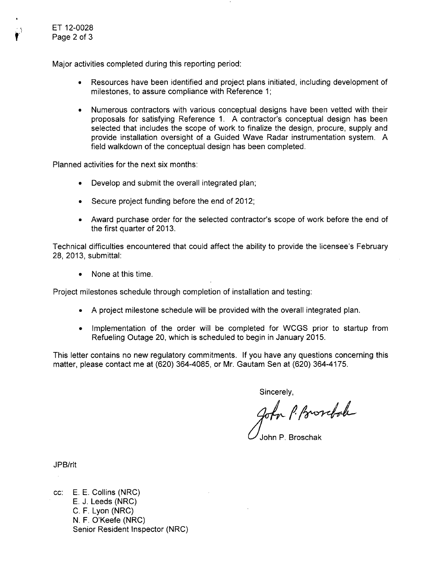Major activities completed during this reporting period:

- \* Resources have been identified and project plans initiated, including development of milestones, to assure compliance with Reference 1;
- \* Numerous contractors with various conceptual designs have been vetted with their proposals for satisfying Reference 1. A contractor's conceptual design has been selected that includes the scope of work to finalize the design, procure, supply and provide installation oversight of a Guided Wave Radar instrumentation system. A field walkdown of the conceptual design has been completed.

Planned activities for the next six months:

- Develop and submit the overall integrated plan;
- **"** Secure project funding before the end of 2012;
- **"** Award purchase order for the selected contractor's scope of work before the end of the first quarter of 2013.

Technical difficulties encountered that could affect the ability to provide the licensee's February 28, 2013, submittal:

• None at this time.

Project milestones schedule through completion of installation and testing:

- **"** A project milestone schedule will be provided with the overall integrated plan.
- **"** Implementation of the order will be completed for WCGS prior to startup from Refueling Outage 20, which is scheduled to begin in January 2015.

This letter contains no new regulatory commitments. If you have any questions concerning this matter, please contact me at (620) 364-4085, or Mr. Gautam Sen at (620) 364-4175.

Sincerely,

John P. Broschole

P Broschak

JPB/rlt

cc: E. E. Collins (NRC) E. J. Leeds (NRC) C. F. Lyon (NRC) N. F. O'Keefe (NRC) Senior Resident Inspector (NRC)